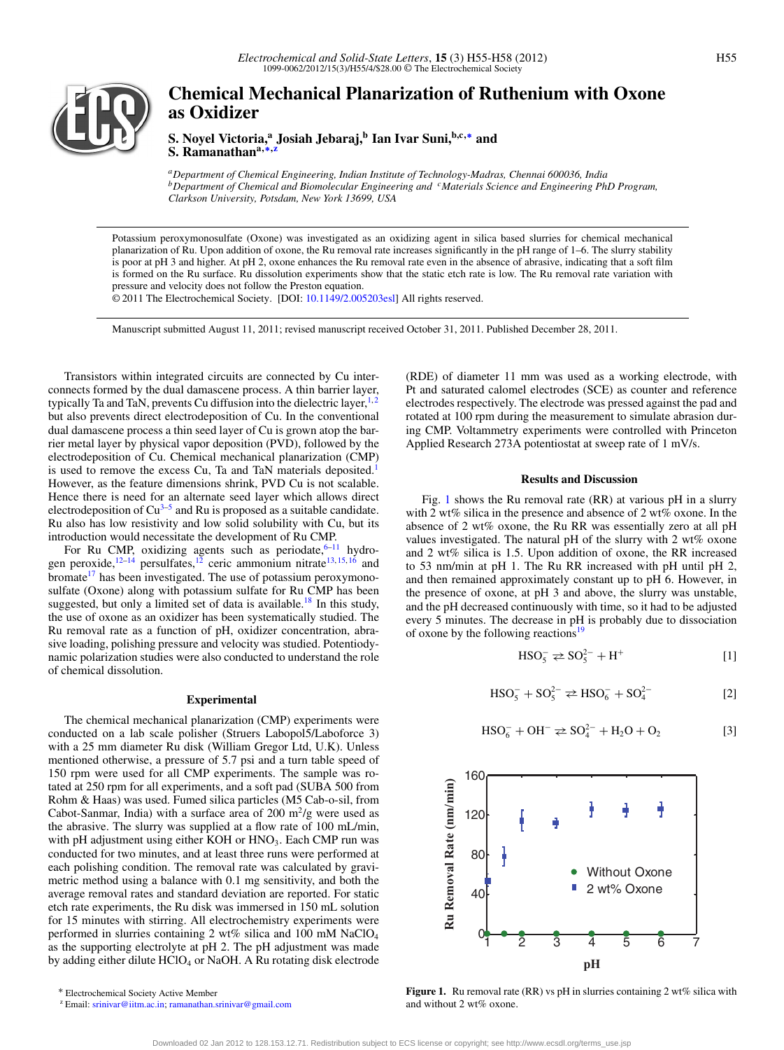

# **Chemical Mechanical Planarization of Ruthenium with Oxone as Oxidizer**

**S. Noyel Victoria,<sup>a</sup> Josiah Jebaraj,<sup>b</sup> Ian Ivar Suni,b,c,[∗](#page-0-0) and S. Ramanathana,[∗](#page-0-0)[,z](#page-0-1)**

*aDepartment of Chemical Engineering, Indian Institute of Technology-Madras, Chennai 600036, India bDepartment of Chemical and Biomolecular Engineering and cMaterials Science and Engineering PhD Program, Clarkson University, Potsdam, New York 13699, USA*

Potassium peroxymonosulfate (Oxone) was investigated as an oxidizing agent in silica based slurries for chemical mechanical planarization of Ru. Upon addition of oxone, the Ru removal rate increases significantly in the pH range of 1–6. The slurry stability is poor at pH 3 and higher. At pH 2, oxone enhances the Ru removal rate even in the absence of abrasive, indicating that a soft film is formed on the Ru surface. Ru dissolution experiments show that the static etch rate is low. The Ru removal rate variation with pressure and velocity does not follow the Preston equation.

© 2011 The Electrochemical Society. [DOI: [10.1149/2.005203esl\]](http://dx.doi.org/10.1149/2.005203esl) All rights reserved.

Manuscript submitted August 11, 2011; revised manuscript received October 31, 2011. Published December 28, 2011.

Transistors within integrated circuits are connected by Cu interconnects formed by the dual damascene process. A thin barrier layer, typically Ta and TaN, prevents Cu diffusion into the dielectric layer, $1,2$  $1,2$ but also prevents direct electrodeposition of Cu. In the conventional dual damascene process a thin seed layer of Cu is grown atop the barrier metal layer by physical vapor deposition (PVD), followed by the electrodeposition of Cu. Chemical mechanical planarization (CMP) is used to remove the excess Cu, Ta and TaN materials deposited.<sup>[1](#page-2-0)</sup> However, as the feature dimensions shrink, PVD Cu is not scalable. Hence there is need for an alternate seed layer which allows direct electrodeposition of  $Cu^{3-5}$  $Cu^{3-5}$  $Cu^{3-5}$  and Ru is proposed as a suitable candidate. Ru also has low resistivity and low solid solubility with Cu, but its introduction would necessitate the development of Ru CMP.

For Ru CMP, oxidizing agents such as periodate,  $6-11$  $6-11$  hydrogen peroxide,  $12-14$  $12-14$  persulfates,  $12$  ceric ammonium nitrate  $13, 15, 16$  $13, 15, 16$  $13, 15, 16$  $13, 15, 16$  and bromate<sup>17</sup> has been investigated. The use of potassium peroxymonosulfate (Oxone) along with potassium sulfate for Ru CMP has been suggested, but only a limited set of data is available.<sup>18</sup> In this study, the use of oxone as an oxidizer has been systematically studied. The Ru removal rate as a function of pH, oxidizer concentration, abrasive loading, polishing pressure and velocity was studied. Potentiodynamic polarization studies were also conducted to understand the role of chemical dissolution.

## **Experimental**

The chemical mechanical planarization (CMP) experiments were conducted on a lab scale polisher (Struers Labopol5/Laboforce 3) with a 25 mm diameter Ru disk (William Gregor Ltd, U.K). Unless mentioned otherwise, a pressure of 5.7 psi and a turn table speed of 150 rpm were used for all CMP experiments. The sample was rotated at 250 rpm for all experiments, and a soft pad (SUBA 500 from Rohm & Haas) was used. Fumed silica particles (M5 Cab-o-sil, from Cabot-Sanmar, India) with a surface area of 200  $\mathrm{m}^2/\mathrm{g}$  were used as the abrasive. The slurry was supplied at a flow rate of 100 mL/min, with pH adjustment using either KOH or HNO<sub>3</sub>. Each CMP run was conducted for two minutes, and at least three runs were performed at each polishing condition. The removal rate was calculated by gravimetric method using a balance with 0.1 mg sensitivity, and both the average removal rates and standard deviation are reported. For static etch rate experiments, the Ru disk was immersed in 150 mL solution for 15 minutes with stirring. All electrochemistry experiments were performed in slurries containing 2 wt% silica and 100 mM NaClO4 as the supporting electrolyte at pH 2. The pH adjustment was made by adding either dilute HClO<sub>4</sub> or NaOH. A Ru rotating disk electrode

<span id="page-0-0"></span>∗ Electrochemical Society Active Member

(RDE) of diameter 11 mm was used as a working electrode, with Pt and saturated calomel electrodes (SCE) as counter and reference electrodes respectively. The electrode was pressed against the pad and rotated at 100 rpm during the measurement to simulate abrasion during CMP. Voltammetry experiments were controlled with Princeton Applied Research 273A potentiostat at sweep rate of 1 mV/s.

## **Results and Discussion**

Fig. [1](#page-0-2) shows the Ru removal rate (RR) at various pH in a slurry with 2 wt% silica in the presence and absence of 2 wt% oxone. In the absence of 2 wt% oxone, the Ru RR was essentially zero at all pH values investigated. The natural pH of the slurry with 2 wt% oxone and 2 wt% silica is 1.5. Upon addition of oxone, the RR increased to 53 nm/min at pH 1. The Ru RR increased with pH until pH 2, and then remained approximately constant up to pH 6. However, in the presence of oxone, at pH 3 and above, the slurry was unstable, and the pH decreased continuously with time, so it had to be adjusted every 5 minutes. The decrease in pH is probably due to dissociation of oxone by the following reactions<sup>[19](#page-3-8)</sup>

$$
HSO_5^- \rightleftharpoons SO_5^{2-} + H^+ \tag{1}
$$

$$
HSO_5^- + SO_5^{2-} \rightleftarrows HSO_6^- + SO_4^{2-}
$$
 [2]

$$
HSO_6^- + OH^- \rightleftharpoons SO_4^{2-} + H_2O + O_2 \tag{3}
$$

<span id="page-0-2"></span>

**Figure 1.** Ru removal rate (RR) vs pH in slurries containing 2 wt% silica with and without 2 wt% oxone.

<span id="page-0-1"></span><sup>z</sup> Email: [srinivar@iitm.ac.in;](mailto: srinivar@iitm.ac.in) [ramanathan.srinivar@gmail.com](mailto: ramanathan.srinivar@gmail.com)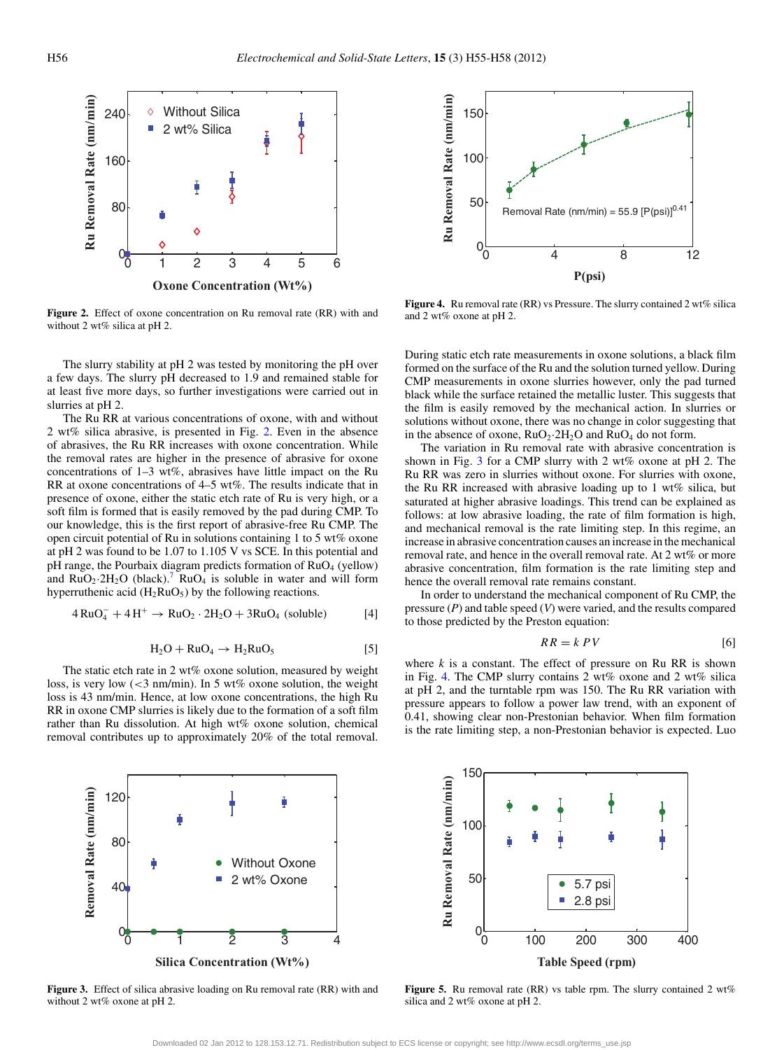<span id="page-1-0"></span>

**Figure 2.** Effect of oxone concentration on Ru removal rate (RR) with and without 2 wt% silica at pH 2.

The slurry stability at pH 2 was tested by monitoring the pH over a few days. The slurry pH decreased to 1.9 and remained stable for at least five more days, so further investigations were carried out in slurries at pH 2.

The Ru RR at various concentrations of oxone, with and without 2 wt% silica abrasive, is presented in Fig. [2.](#page-1-0) Even in the absence of abrasives, the Ru RR increases with oxone concentration. While the removal rates are higher in the presence of abrasive for oxone concentrations of 1–3 wt%, abrasives have little impact on the Ru RR at oxone concentrations of 4–5 wt%. The results indicate that in presence of oxone, either the static etch rate of Ru is very high, or a soft film is formed that is easily removed by the pad during CMP. To our knowledge, this is the first report of abrasive-free Ru CMP. The open circuit potential of Ru in solutions containing 1 to 5 wt% oxone at pH 2 was found to be 1.07 to 1.105 V vs SCE. In this potential and  $pH$  range, the Pourbaix diagram predicts formation of  $RuO<sub>4</sub>$  (yellow) and  $RuO_2·2H_2O$  (black).<sup>7</sup>  $RuO_4$  is soluble in water and will form hyperruthenic acid  $(H_2RuO_5)$  by the following reactions.

$$
RuO4- + 4H+ \rightarrow RuO2 \cdot 2H2O + 3RuO4 (soluble)
$$
 [4]

$$
H_2O + RuO_4 \rightarrow H_2RuO_5 \tag{5}
$$

The static etch rate in 2 wt% oxone solution, measured by weight loss, is very low  $\left( \langle 3 \rangle \right)$  nm/min). In 5 wt% oxone solution, the weight loss is 43 nm/min. Hence, at low oxone concentrations, the high Ru RR in oxone CMP slurries is likely due to the formation of a soft film rather than Ru dissolution. At high wt% oxone solution, chemical removal contributes up to approximately 20% of the total removal.

<span id="page-1-2"></span>

**Figure 4.** Ru removal rate (RR) vs Pressure. The slurry contained 2 wt% silica and 2 wt% oxone at pH 2.

During static etch rate measurements in oxone solutions, a black film formed on the surface of the Ru and the solution turned yellow. During CMP measurements in oxone slurries however, only the pad turned black while the surface retained the metallic luster. This suggests that the film is easily removed by the mechanical action. In slurries or solutions without oxone, there was no change in color suggesting that in the absence of oxone,  $RuO<sub>2</sub>·2H<sub>2</sub>O$  and  $RuO<sub>4</sub>$  do not form.

The variation in Ru removal rate with abrasive concentration is shown in Fig. [3](#page-1-1) for a CMP slurry with 2 wt% oxone at pH 2. The Ru RR was zero in slurries without oxone. For slurries with oxone, the Ru RR increased with abrasive loading up to 1 wt% silica, but saturated at higher abrasive loadings. This trend can be explained as follows: at low abrasive loading, the rate of film formation is high, and mechanical removal is the rate limiting step. In this regime, an increase in abrasive concentration causes an increase in the mechanical removal rate, and hence in the overall removal rate. At 2 wt% or more abrasive concentration, film formation is the rate limiting step and hence the overall removal rate remains constant.

In order to understand the mechanical component of Ru CMP, the pressure (*P*) and table speed (*V*) were varied, and the results compared to those predicted by the Preston equation:

$$
RR = k \, PV \tag{6}
$$

where  $k$  is a constant. The effect of pressure on Ru RR is shown in Fig. [4.](#page-1-2) The CMP slurry contains 2 wt% oxone and 2 wt% silica at pH 2, and the turntable rpm was 150. The Ru RR variation with pressure appears to follow a power law trend, with an exponent of 0.41, showing clear non-Prestonian behavior. When film formation is the rate limiting step, a non-Prestonian behavior is expected. Luo

<span id="page-1-1"></span>

**Figure 3.** Effect of silica abrasive loading on Ru removal rate (RR) with and without 2 wt% oxone at pH 2.

<span id="page-1-3"></span>

Figure 5. Ru removal rate (RR) vs table rpm. The slurry contained 2 wt% silica and 2 wt% oxone at pH 2.

 $\overline{4}$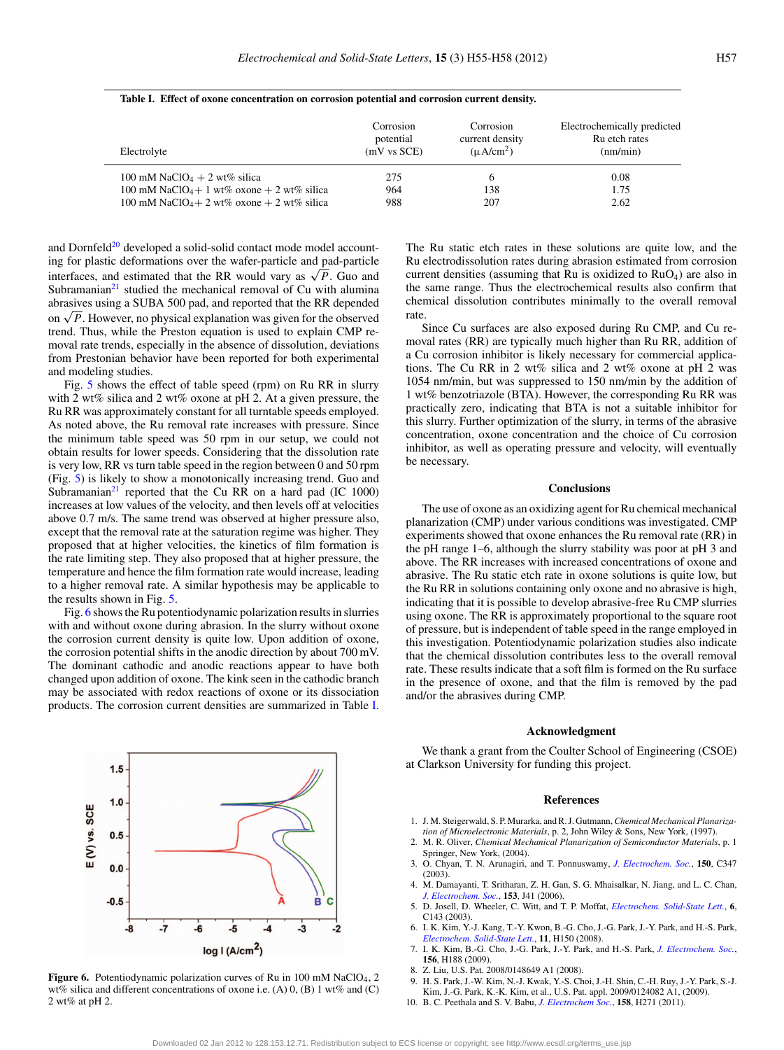| Electrolyte                                            | Corrosion   | Corrosion       | Electrochemically predicted |
|--------------------------------------------------------|-------------|-----------------|-----------------------------|
|                                                        | potential   | current density | Ru etch rates               |
|                                                        | (mV vs SCE) | $(\mu A/cm^2)$  | (nm/min)                    |
| 100 mM NaClO <sub>4</sub> + 2 wt% silica               | 275         | <sub>0</sub>    | 0.08                        |
| 100 mM NaClO <sub>4</sub> +1 wt% oxone + 2 wt% silica  | 964         | 138             | 1.75                        |
| 100 mM NaClO <sub>4</sub> + 2 wt% oxone + 2 wt% silica | 988         | 207             | 2.62                        |

#### <span id="page-2-7"></span>**Table I. Effect of oxone concentration on corrosion potential and corrosion current density.**

and Dornfeld<sup>20</sup> developed a solid-solid contact mode model accounting for plastic deformations over the wafer-particle and pad-particle interfaces, and estimated that the RR would vary as  $\sqrt{P}$ . Guo and Subramanian $21$  studied the mechanical removal of Cu with alumina abrasives using a SUBA 500 pad, and reported that the RR depended on  $\sqrt{P}$ . However, no physical explanation was given for the observed trend. Thus, while the Preston equation is used to explain CMP removal rate trends, especially in the absence of dissolution, deviations from Prestonian behavior have been reported for both experimental and modeling studies.

Fig. [5](#page-1-3) shows the effect of table speed (rpm) on Ru RR in slurry with 2 wt% silica and 2 wt% oxone at pH 2. At a given pressure, the Ru RR was approximately constant for all turntable speeds employed. As noted above, the Ru removal rate increases with pressure. Since the minimum table speed was 50 rpm in our setup, we could not obtain results for lower speeds. Considering that the dissolution rate is very low, RR vs turn table speed in the region between 0 and 50 rpm (Fig. [5\)](#page-1-3) is likely to show a monotonically increasing trend. Guo and Subramanian $^{21}$  reported that the Cu RR on a hard pad (IC 1000) increases at low values of the velocity, and then levels off at velocities above 0.7 m/s. The same trend was observed at higher pressure also, except that the removal rate at the saturation regime was higher. They proposed that at higher velocities, the kinetics of film formation is the rate limiting step. They also proposed that at higher pressure, the temperature and hence the film formation rate would increase, leading to a higher removal rate. A similar hypothesis may be applicable to the results shown in Fig. [5.](#page-1-3)

Fig. [6](#page-2-6) shows the Ru potentiodynamic polarization results in slurries with and without oxone during abrasion. In the slurry without oxone the corrosion current density is quite low. Upon addition of oxone, the corrosion potential shifts in the anodic direction by about 700 mV. The dominant cathodic and anodic reactions appear to have both changed upon addition of oxone. The kink seen in the cathodic branch may be associated with redox reactions of oxone or its dissociation products. The corrosion current densities are summarized in Table [I.](#page-2-7)

<span id="page-2-6"></span>

Figure 6. Potentiodynamic polarization curves of Ru in 100 mM NaClO<sub>4</sub>, 2 wt% silica and different concentrations of oxone i.e.  $(A)$  0,  $(B)$  1 wt% and  $(C)$ 2 wt% at pH 2.

The Ru static etch rates in these solutions are quite low, and the Ru electrodissolution rates during abrasion estimated from corrosion current densities (assuming that Ru is oxidized to  $RuO<sub>4</sub>$ ) are also in the same range. Thus the electrochemical results also confirm that chemical dissolution contributes minimally to the overall removal rate.

Since Cu surfaces are also exposed during Ru CMP, and Cu removal rates (RR) are typically much higher than Ru RR, addition of a Cu corrosion inhibitor is likely necessary for commercial applications. The Cu RR in 2 wt% silica and 2 wt% oxone at pH 2 was 1054 nm/min, but was suppressed to 150 nm/min by the addition of 1 wt% benzotriazole (BTA). However, the corresponding Ru RR was practically zero, indicating that BTA is not a suitable inhibitor for this slurry. Further optimization of the slurry, in terms of the abrasive concentration, oxone concentration and the choice of Cu corrosion inhibitor, as well as operating pressure and velocity, will eventually be necessary.

## **Conclusions**

The use of oxone as an oxidizing agent for Ru chemical mechanical planarization (CMP) under various conditions was investigated. CMP experiments showed that oxone enhances the Ru removal rate (RR) in the pH range 1–6, although the slurry stability was poor at pH 3 and above. The RR increases with increased concentrations of oxone and abrasive. The Ru static etch rate in oxone solutions is quite low, but the Ru RR in solutions containing only oxone and no abrasive is high, indicating that it is possible to develop abrasive-free Ru CMP slurries using oxone. The RR is approximately proportional to the square root of pressure, but is independent of table speed in the range employed in this investigation. Potentiodynamic polarization studies also indicate that the chemical dissolution contributes less to the overall removal rate. These results indicate that a soft film is formed on the Ru surface in the presence of oxone, and that the film is removed by the pad and/or the abrasives during CMP.

### **Acknowledgment**

We thank a grant from the Coulter School of Engineering (CSOE) at Clarkson University for funding this project.

#### **References**

- <span id="page-2-0"></span>1. J. M. Steigerwald, S. P. Murarka, and R. J. Gutmann,*Chemical Mechanical Planarization of Microelectronic Materials*, p. 2, John Wiley & Sons, New York, (1997).
- <span id="page-2-1"></span>2. M. R. Oliver, *Chemical Mechanical Planarization of Semiconductor Materials*, p. 1 Springer, New York, (2004).
- <span id="page-2-2"></span>3. O. Chyan, T. N. Arunagiri, and T. Ponnuswamy, *[J. Electrochem. Soc.](http://dx.doi.org/10.1149/1.1565138)*, **150**, C347  $(2003)$
- 4. M. Damayanti, T. Sritharan, Z. H. Gan, S. G. Mhaisalkar, N. Jiang, and L. C. Chan, *[J. Electrochem. Soc.](http://dx.doi.org/10.1149/1.2188328)*, **153**, J41 (2006).
- <span id="page-2-3"></span>5. D. Josell, D. Wheeler, C. Witt, and T. P. Moffat, *[Electrochem. Solid-State Lett.](http://dx.doi.org/10.1149/1.1605271)*, **6**, C143 (2003).
- <span id="page-2-4"></span>6. I. K. Kim, Y.-J. Kang, T.-Y. Kwon, B.-G. Cho, J.-G. Park, J.-Y. Park, and H.-S. Park, *[Electrochem. Solid-State Lett.](http://dx.doi.org/10.1149/1.2901544)*, **11**, H150 (2008).
- <span id="page-2-5"></span>7. I. K. Kim, B.-G. Cho, J.-G. Park, J.-Y. Park, and H.-S. Park, *[J. Electrochem. Soc.](http://dx.doi.org/10.1149/1.3058594)*, **156**, H188 (2009).
- 8. Z. Liu, U.S. Pat. 2008/0148649 A1 (2008).
- 9. H. S. Park, J.-W. Kim, N.-J. Kwak, Y.-S. Choi, J.-H. Shin, C.-H. Ruy, J.-Y. Park, S.-J. Kim, J.-G. Park, K.-K. Kim, et al., U.S. Pat. appl. 2009/0124082 A1, (2009).
- 10. B. C. Peethala and S. V. Babu, *[J. Electrochem Soc.](http://dx.doi.org/10.1149/1.3528942)*, **158**, H271 (2011).